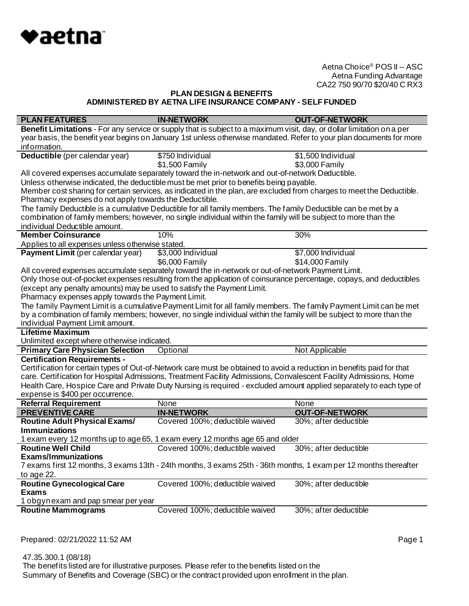

# **PLAN DESIGN & BENEFITS ADMINISTERED BY AETNA LIFE INSURANCE COMPANY - SELF FUNDED**

| <b>PLAN FEATURES</b>                                                   | <b>IN-NETWORK</b>                                                                                                      | <b>OUT-OF-NETWORK</b> |
|------------------------------------------------------------------------|------------------------------------------------------------------------------------------------------------------------|-----------------------|
|                                                                        | Benefit Limitations - For any service or supply that is subject to a maximum visit, day, or dollar limitation on a per |                       |
|                                                                        | year basis, the benefit year begins on January 1st unless otherwise mandated. Refer to your plan documents for more    |                       |
| information.                                                           |                                                                                                                        |                       |
| Deductible (per calendar year)                                         | \$750 Individual                                                                                                       | \$1,500 Individual    |
|                                                                        | \$1,500 Family                                                                                                         | \$3,000 Family        |
|                                                                        | All covered expenses accumulate separately toward the in-network and out-of-network Deductible.                        |                       |
|                                                                        | Unless otherwise indicated, the deductible must be met prior to benefits being payable.                                |                       |
|                                                                        | Member cost sharing for certain services, as indicated in the plan, are excluded from charges to meet the Deductible.  |                       |
| Pharmacy expenses do not apply towards the Deductible.                 |                                                                                                                        |                       |
|                                                                        | The family Deductible is a cumulative Deductible for all family members. The family Deductible can be met by a         |                       |
|                                                                        | combination of family members; however, no single individual within the family will be subject to more than the        |                       |
| individual Deductible amount.                                          |                                                                                                                        |                       |
| <b>Member Coinsurance</b>                                              | 10%                                                                                                                    | 30%                   |
| Applies to all expenses unless otherwise stated.                       |                                                                                                                        |                       |
| Payment Limit (per calendar year)                                      | \$3,000 Individual                                                                                                     | \$7,000 Individual    |
|                                                                        | \$6,000 Family                                                                                                         | \$14,000 Family       |
|                                                                        | All covered expenses accumulate separately toward the in-network or out-of-network Payment Limit.                      |                       |
|                                                                        | Only those out-of-pocket expenses resulting from the application of coinsurance percentage, copays, and deductibles    |                       |
| (except any penalty amounts) may be used to satisfy the Payment Limit. |                                                                                                                        |                       |
| Pharmacy expenses apply towards the Payment Limit.                     |                                                                                                                        |                       |
|                                                                        | The family Payment Limit is a cumulative Payment Limit for all family members. The family Payment Limit can be met     |                       |
|                                                                        | by a combination of family members; however, no single individual within the family will be subject to more than the   |                       |
| individual Payment Limit amount.                                       |                                                                                                                        |                       |
| <b>Lifetime Maximum</b>                                                |                                                                                                                        |                       |
| Unlimited except where otherwise indicated.                            |                                                                                                                        |                       |
| <b>Primary Care Physician Selection</b>                                | Optional                                                                                                               | Not Applicable        |
| <b>Certification Requirements -</b>                                    |                                                                                                                        |                       |
|                                                                        | Certification for certain types of Out-of-Network care must be obtained to avoid a reduction in benefits paid for that |                       |
|                                                                        | care. Certification for Hospital Admissions, Treatment Facility Admissions, Convalescent Facility Admissions, Home     |                       |
|                                                                        | Health Care, Hospice Care and Private Duty Nursing is required - excluded amount applied separately to each type of    |                       |
| expense is \$400 per occurrence.                                       |                                                                                                                        |                       |
| <b>Referral Requirement</b>                                            | None                                                                                                                   | None                  |
| <b>PREVENTIVE CARE</b>                                                 | <b>IN-NETWORK</b>                                                                                                      | <b>OUT-OF-NETWORK</b> |
| <b>Routine Adult Physical Exams/</b>                                   | Covered 100%; deductible waived                                                                                        | 30%; after deductible |
| <b>Immunizations</b>                                                   |                                                                                                                        |                       |
|                                                                        | 1 exam every 12 months up to age 65, 1 exam every 12 months age 65 and older                                           |                       |
| <b>Routine Well Child</b>                                              | Covered 100%; deductible waived                                                                                        | 30%; after deductible |
| <b>Exams/Immunizations</b>                                             |                                                                                                                        |                       |
|                                                                        | 7 exams first 12 months, 3 exams 13th - 24th months, 3 exams 25th - 36th months, 1 exam per 12 months thereafter       |                       |
| to age 22.                                                             |                                                                                                                        |                       |
| <b>Routine Gynecological Care</b>                                      | Covered 100%; deductible waived                                                                                        | 30%; after deductible |
| <b>Exams</b>                                                           |                                                                                                                        |                       |
| 1 obgyn exam and pap smear per year                                    |                                                                                                                        |                       |
| <b>Routine Mammograms</b>                                              | Covered 100%; deductible waived                                                                                        | 30%; after deductible |
|                                                                        |                                                                                                                        |                       |

Prepared: 02/21/2022 11:52 AM **Page 1**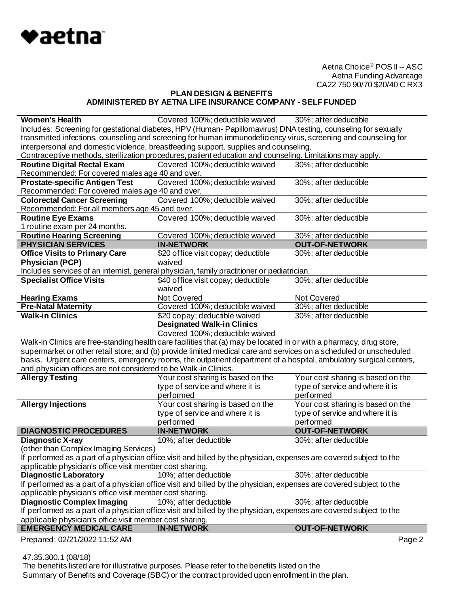

# **PLAN DESIGN & BENEFITS ADMINISTERED BY AETNA LIFE INSURANCE COMPANY - SELF FUNDED**

| <b>Women's Health</b>                                           | Covered 100%; deductible waived 30%; after deductible                                                               |                                   |
|-----------------------------------------------------------------|---------------------------------------------------------------------------------------------------------------------|-----------------------------------|
|                                                                 | Includes: Screening for gestational diabetes, HPV (Human-Papillomavirus) DNA testing, counseling for sexually       |                                   |
|                                                                 | transmitted infections, counseling and screening for human immunodeficiency virus, screening and counseling for     |                                   |
|                                                                 | interpersonal and domestic violence, breastfeeding support, supplies and counseling.                                |                                   |
|                                                                 | Contraceptive methods, sterilization procedures, patient education and counseling. Limitations may apply.           |                                   |
| <b>Routine Digital Rectal Exam</b>                              | Covered 100%; deductible waived                                                                                     | 30%; after deductible             |
| Recommended: For covered males age 40 and over.                 |                                                                                                                     |                                   |
| <b>Prostate-specific Antigen Test</b>                           | Covered 100%; deductible waived                                                                                     | 30%; after deductible             |
| Recommended: For covered males age 40 and over.                 |                                                                                                                     |                                   |
| <b>Colorectal Cancer Screening</b>                              | Covered 100%; deductible waived                                                                                     | 30%; after deductible             |
| Recommended: For all members age 45 and over.                   |                                                                                                                     |                                   |
| Routine Eye Exams                                               | Covered 100%; deductible waived                                                                                     | 30%; after deductible             |
| 1 routine exam per 24 months.                                   |                                                                                                                     |                                   |
| <b>Routine Hearing Screening</b>                                | Covered 100%; deductible waived                                                                                     | 30%; after deductible             |
| <b>PHYSICIAN SERVICES</b>                                       | <b>IN-NETWORK</b>                                                                                                   | <b>OUT-OF-NETWORK</b>             |
| <b>Office Visits to Primary Care</b>                            | \$20 office visit copay; deductible                                                                                 | 30%; after deductible             |
| <b>Physician (PCP)</b>                                          | waived                                                                                                              |                                   |
|                                                                 | Includes services of an internist, general physician, family practitioner or pediatrician.                          |                                   |
| <b>Specialist Office Visits</b>                                 | \$40 office visit copay; deductible                                                                                 | 30%; after deductible             |
|                                                                 | waived                                                                                                              |                                   |
| <b>Hearing Exams</b>                                            | Not Covered                                                                                                         | Not Covered                       |
| <b>Pre-Natal Maternity</b>                                      | Covered 100%; deductible waived                                                                                     | 30%; after deductible             |
| <b>Walk-in Clinics</b>                                          | \$20 copay; deductible waived                                                                                       | 30%; after deductible             |
|                                                                 | <b>Designated Walk-in Clinics</b>                                                                                   |                                   |
|                                                                 | Covered 100%; deductible waived                                                                                     |                                   |
|                                                                 | Walk-in Clinics are free-standing health care facilities that (a) may be located in or with a pharmacy, drug store, |                                   |
|                                                                 | supermarket or other retail store; and (b) provide limited medical care and services on a scheduled or unscheduled  |                                   |
|                                                                 | basis. Urgent care centers, emergency rooms, the outpatient department of a hospital, ambulatory surgical centers,  |                                   |
| and physician offices are not considered to be Walk-in Clinics. |                                                                                                                     |                                   |
| <b>Allergy Testing</b>                                          | Your cost sharing is based on the                                                                                   | Your cost sharing is based on the |
|                                                                 | type of service and where it is                                                                                     | type of service and where it is   |
|                                                                 | performed                                                                                                           | performed                         |
| <b>Allergy Injections</b>                                       | Your cost sharing is based on the                                                                                   | Your cost sharing is based on the |
|                                                                 | type of service and where it is                                                                                     | type of service and where it is   |
|                                                                 | performed                                                                                                           | performed                         |
| <b>DIAGNOSTIC PROCEDURES</b>                                    | <b>IN-NETWORK</b>                                                                                                   | <b>OUT-OF-NETWORK</b>             |
| <b>Diagnostic X-ray</b>                                         | 10%; after deductible                                                                                               | 30%; after deductible             |
| (other than Complex Imaging Services)                           |                                                                                                                     |                                   |
|                                                                 | If performed as a part of a physician office visit and billed by the physician, expenses are covered subject to the |                                   |
| applicable physician's office visit member cost sharing.        |                                                                                                                     |                                   |
| <b>Diagnostic Laboratory</b>                                    | 10%; after deductible                                                                                               | 30%; after deductible             |
| applicable physician's office visit member cost sharing.        | If performed as a part of a physician office visit and billed by the physician, expenses are covered subject to the |                                   |
| <b>Diagnostic Complex Imaging</b>                               | 10%; after deductible                                                                                               | 30%; after deductible             |
|                                                                 | If performed as a part of a physician office visit and billed by the physician, expenses are covered subject to the |                                   |
| applicable physician's office visit member cost sharing.        |                                                                                                                     |                                   |
| <b>EMERGENCY MEDICAL CARE</b>                                   | <b>IN-NETWORK</b>                                                                                                   | <b>OUT-OF-NETWORK</b>             |
| Prepared: 02/21/2022 11:52 AM                                   |                                                                                                                     | Page 2                            |

47.35.300.1 (08/18)

The benefits listed are for illustrative purposes. Please refer to the benefits listed on the Summary of Benefits and Coverage (SBC) or the contract provided upon enrollment in the plan.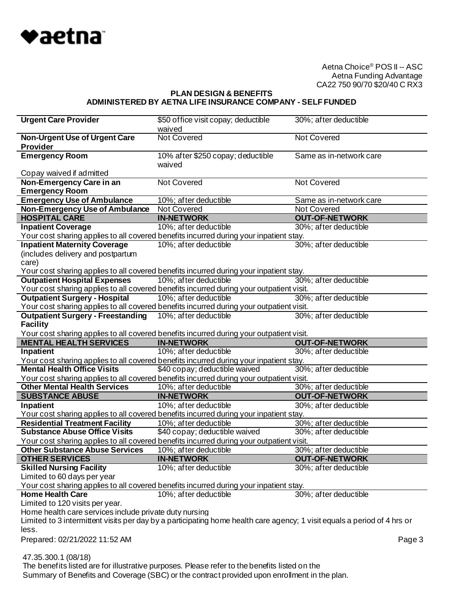

#### **PLAN DESIGN & BENEFITS ADMINISTERED BY AETNA LIFE INSURANCE COMPANY - SELF FUNDED**

| <b>Urgent Care Provider</b>                                                                                              | \$50 of fice visit copay; deductible                                                          | 30%; after deductible   |
|--------------------------------------------------------------------------------------------------------------------------|-----------------------------------------------------------------------------------------------|-------------------------|
|                                                                                                                          | waived<br><b>Not Covered</b>                                                                  |                         |
| <b>Non-Urgent Use of Urgent Care</b><br><b>Provider</b>                                                                  |                                                                                               | Not Covered             |
| <b>Emergency Room</b>                                                                                                    | 10% after \$250 copay; deductible                                                             | Same as in-network care |
|                                                                                                                          | waived                                                                                        |                         |
| Copay waived if admitted                                                                                                 |                                                                                               |                         |
| Non-Emergency Care in an                                                                                                 | Not Covered                                                                                   | <b>Not Covered</b>      |
| <b>Emergency Room</b>                                                                                                    |                                                                                               |                         |
| <b>Emergency Use of Ambulance</b>                                                                                        | 10%; af ter deductible                                                                        | Same as in-network care |
| <b>Non-Emergency Use of Ambulance</b>                                                                                    | Not Covered                                                                                   | Not Covered             |
| <b>HOSPITAL CARE</b>                                                                                                     | <b>IN-NETWORK</b>                                                                             | <b>OUT-OF-NETWORK</b>   |
| <b>Inpatient Coverage</b>                                                                                                | 10%; after deductible                                                                         | 30%; after deductible   |
| Your cost sharing applies to all covered benefits incurred during your inpatient stay.                                   |                                                                                               |                         |
| <b>Inpatient Maternity Coverage</b>                                                                                      | 10%; after deductible                                                                         | 30%; after deductible   |
| (includes delivery and postpartum                                                                                        |                                                                                               |                         |
| care)                                                                                                                    |                                                                                               |                         |
| Your cost sharing applies to all covered benefits incurred during your inpatient stay.                                   |                                                                                               |                         |
| <b>Outpatient Hospital Expenses</b>                                                                                      | 10%; after deductible                                                                         | 30%; after deductible   |
| Your cost sharing applies to all covered benefits incurred during your outpatient visit.                                 |                                                                                               |                         |
| <b>Outpatient Surgery - Hospital</b>                                                                                     | 10%; after deductible                                                                         | 30%; after deductible   |
| Your cost sharing applies to all covered benefits incurred during your outpatient visit.                                 |                                                                                               |                         |
| <b>Outpatient Surgery - Freestanding</b>                                                                                 | 10%; after deductible                                                                         | 30%; after deductible   |
| <b>Facility</b>                                                                                                          |                                                                                               |                         |
| Your cost sharing applies to all covered benefits incurred during your outpatient visit.                                 |                                                                                               |                         |
| <b>MENTAL HEALTH SERVICES</b>                                                                                            | <b>IN-NETWORK</b>                                                                             | <b>OUT-OF-NETWORK</b>   |
|                                                                                                                          |                                                                                               |                         |
| Inpatient                                                                                                                | 10%; after deductible                                                                         | 30%; after deductible   |
| Your cost sharing applies to all covered benefits incurred during your inpatient stay.                                   |                                                                                               |                         |
| <b>Mental Health Office Visits</b>                                                                                       | \$40 copay; deductible waived                                                                 | 30%; after deductible   |
| Your cost sharing applies to all covered benefits incurred during your outpatient visit.                                 |                                                                                               |                         |
| <b>Other Mental Health Services</b>                                                                                      | 10%; after deductible                                                                         | 30%; after deductible   |
| <b>SUBSTANCE ABUSE</b>                                                                                                   | <b>IN-NETWORK</b>                                                                             | <b>OUT-OF-NETWORK</b>   |
| Inpatient                                                                                                                | 10%; after deductible                                                                         | 30%; after deductible   |
| Your cost sharing applies to all covered benefits incurred during your inpatient stay.                                   |                                                                                               |                         |
| <b>Residential Treatment Facility</b>                                                                                    | 10%; after deductible                                                                         | 30%; after deductible   |
| <b>Substance Abuse Office Visits</b>                                                                                     | \$40 copay; deductible waived                                                                 | 30%; after deductible   |
| Your cost sharing applies to all covered benefits incurred during your outpatient visit.                                 |                                                                                               |                         |
| <b>Other Substance Abuse Services</b>                                                                                    | 10%; after deductible                                                                         | 30%; after deductible   |
| <b>OTHER SERVICES</b>                                                                                                    | <b>IN-NETWORK</b>                                                                             | <b>OUT-OF-NETWORK</b>   |
| <b>Skilled Nursing Facility</b>                                                                                          | 10%; after deductible                                                                         | 30%; after deductible   |
| Limited to 60 days per year                                                                                              |                                                                                               |                         |
| Your cost sharing applies to all covered benefits incurred during your inpatient stay.                                   |                                                                                               |                         |
| <b>Home Health Care</b>                                                                                                  | 10%; after deductible                                                                         | 30%; after deductible   |
| Limited to 120 visits per year.                                                                                          |                                                                                               |                         |
| Home health care services include private duty nursing                                                                   |                                                                                               |                         |
| Limited to 3 intermittent visits per day by a participating home health care agency; 1 visit equals a period of 4 hrs or |                                                                                               |                         |
| less.                                                                                                                    |                                                                                               |                         |
| Prepared: 02/21/2022 11:52 AM                                                                                            |                                                                                               | Page 3                  |
|                                                                                                                          |                                                                                               |                         |
| 47.35.300.1 (08/18)                                                                                                      | The benefits listed are for illustrative purposes. Please refer to the benefits listed on the |                         |

Summary of Benefits and Coverage (SBC) or the contract provided upon enrollment in the plan.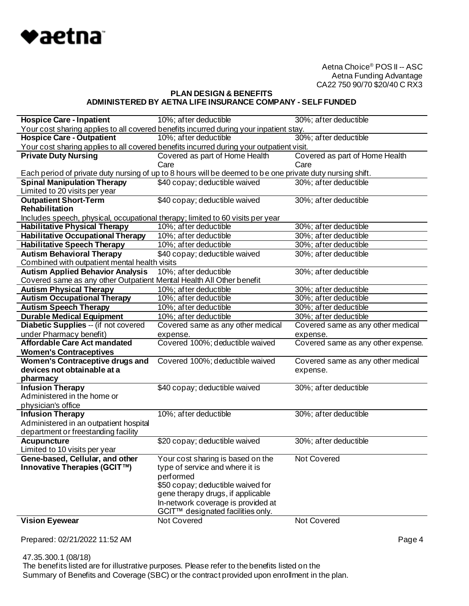

# **PLAN DESIGN & BENEFITS ADMINISTERED BY AETNA LIFE INSURANCE COMPANY - SELF FUNDED**

| <b>Hospice Care - Inpatient</b>                                                | 10%; after deductible                                                                                     | 30%; after deductible              |
|--------------------------------------------------------------------------------|-----------------------------------------------------------------------------------------------------------|------------------------------------|
|                                                                                | Your cost sharing applies to all covered benefits incurred during your inpatient stay.                    |                                    |
| <b>Hospice Care - Outpatient</b>                                               | $\overline{10\%}$ ; after deductible                                                                      | 30%; after deductible              |
|                                                                                | Your cost sharing applies to all covered benefits incurred during your outpatient visit.                  |                                    |
| <b>Private Duty Nursing</b>                                                    | Covered as part of Home Health                                                                            | Covered as part of Home Health     |
|                                                                                | Care                                                                                                      | Care                               |
|                                                                                | Each period of private duty nursing of up to 8 hours will be deemed to be one private duty nursing shift. |                                    |
| <b>Spinal Manipulation Therapy</b>                                             | \$40 copay; deductible waived                                                                             | 30%; after deductible              |
| Limited to 20 visits per year                                                  |                                                                                                           |                                    |
| <b>Outpatient Short-Term</b>                                                   | \$40 copay; deductible waived                                                                             | 30%; after deductible              |
| Rehabilitation                                                                 |                                                                                                           |                                    |
| Includes speech, physical, occupational therapy; limited to 60 visits per year |                                                                                                           |                                    |
| <b>Habilitative Physical Therapy</b>                                           | 10%; after deductible                                                                                     | 30%; after deductible              |
| <b>Habilitative Occupational Therapy</b>                                       | 10%; after deductible                                                                                     | 30%; after deductible              |
| <b>Habilitative Speech Therapy</b>                                             | 10%; after deductible                                                                                     | 30%; after deductible              |
| <b>Autism Behavioral Therapy</b>                                               | \$40 copay; deductible waived                                                                             | 30%; after deductible              |
| Combined with outpatient mental health visits                                  |                                                                                                           |                                    |
| <b>Autism Applied Behavior Analysis</b>                                        | 10%; after deductible                                                                                     | 30%; after deductible              |
| Covered same as any other Outpatient Mental Health All Other benefit           |                                                                                                           |                                    |
| <b>Autism Physical Therapy</b>                                                 | 10%; after deductible                                                                                     | 30%; after deductible              |
| <b>Autism Occupational Therapy</b>                                             | 10%; after deductible                                                                                     | 30%; after deductible              |
| <b>Autism Speech Therapy</b>                                                   | 10%; after deductible                                                                                     | 30%; after deductible              |
| <b>Durable Medical Equipment</b>                                               | 10%; after deductible                                                                                     | 30%; after deductible              |
| Diabetic Supplies -- (if not covered                                           | Covered same as any other medical                                                                         | Covered same as any other medical  |
| under Pharmacy benefit)                                                        | expense.                                                                                                  | expense.                           |
| <b>Affordable Care Act mandated</b>                                            | Covered 100%; deductible waived                                                                           | Covered same as any other expense. |
| <b>Women's Contraceptives</b>                                                  |                                                                                                           |                                    |
| Women's Contraceptive drugs and                                                | Covered 100%; deductible waived                                                                           | Covered same as any other medical  |
| devices not obtainable at a                                                    |                                                                                                           | expense.                           |
| pharmacy                                                                       |                                                                                                           |                                    |
| <b>Infusion Therapy</b>                                                        | \$40 copay; deductible waived                                                                             | 30%; after deductible              |
| Administered in the home or                                                    |                                                                                                           |                                    |
| physician's office                                                             |                                                                                                           |                                    |
| <b>Infusion Therapy</b>                                                        | 10%; after deductible                                                                                     | 30%; after deductible              |
| Administered in an outpatient hospital                                         |                                                                                                           |                                    |
| department or freestanding facility                                            |                                                                                                           |                                    |
| <b>Acupuncture</b>                                                             | \$20 copay; deductible waived                                                                             | 30%; after deductible              |
| Limited to 10 visits per year                                                  |                                                                                                           |                                    |
| Gene-based, Cellular, and other                                                | Your cost sharing is based on the                                                                         | Not Covered                        |
| Innovative Therapies (GCIT™)                                                   | type of service and where it is                                                                           |                                    |
|                                                                                | performed                                                                                                 |                                    |
|                                                                                | \$50 copay; deductible waived for                                                                         |                                    |
|                                                                                | gene therapy drugs, if applicable                                                                         |                                    |
|                                                                                | In-network coverage is provided at                                                                        |                                    |
|                                                                                | GCIT™ designated facilities only.                                                                         |                                    |
| <b>Vision Eyewear</b>                                                          | Not Covered                                                                                               | Not Covered                        |

Prepared: 02/21/2022 11:52 AM **Page 4** 

 47.35.300.1 (08/18) The benefits listed are for illustrative purposes. Please refer to the benefits listed on the Summary of Benefits and Coverage (SBC) or the contract provided upon enrollment in the plan.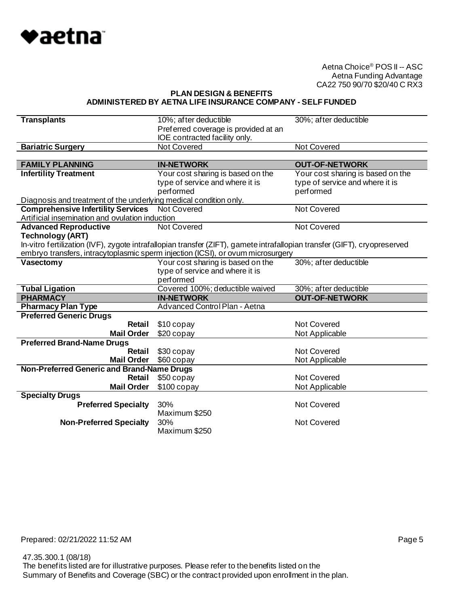

**PLAN DESIGN & BENEFITS ADMINISTERED BY AETNA LIFE INSURANCE COMPANY - SELF FUNDED**

| <b>Transplants</b>                                                | 10%; after deductible                                                                                                     | 30%; after deductible             |
|-------------------------------------------------------------------|---------------------------------------------------------------------------------------------------------------------------|-----------------------------------|
|                                                                   | Preferred coverage is provided at an                                                                                      |                                   |
|                                                                   | IOE contracted facility only.                                                                                             |                                   |
| <b>Bariatric Surgery</b>                                          | Not Covered                                                                                                               | <b>Not Covered</b>                |
|                                                                   |                                                                                                                           |                                   |
| <b>FAMILY PLANNING</b>                                            | <b>IN-NETWORK</b>                                                                                                         | <b>OUT-OF-NETWORK</b>             |
| <b>Infertility Treatment</b>                                      | Your cost sharing is based on the                                                                                         | Your cost sharing is based on the |
|                                                                   | type of service and where it is                                                                                           | type of service and where it is   |
|                                                                   | performed                                                                                                                 | performed                         |
| Diagnosis and treatment of the underlying medical condition only. |                                                                                                                           |                                   |
| <b>Comprehensive Infertility Services</b> Not Covered             |                                                                                                                           | Not Covered                       |
| Artificial insemination and ovulation induction                   |                                                                                                                           |                                   |
| <b>Advanced Reproductive</b>                                      | Not Covered                                                                                                               | <b>Not Covered</b>                |
| <b>Technology (ART)</b>                                           |                                                                                                                           |                                   |
|                                                                   | In-vitro fertilization (IVF), zygote intrafallopian transfer (ZIFT), gamete intrafallopian transfer (GIFT), cryopreserved |                                   |
|                                                                   | embryo transfers, intracytoplasmic sperm injection (ICSI), or ovum microsurgery                                           |                                   |
| Vasectomy                                                         | Your cost sharing is based on the                                                                                         | 30%; after deductible             |
|                                                                   | type of service and where it is                                                                                           |                                   |
|                                                                   | performed                                                                                                                 |                                   |
| <b>Tubal Ligation</b>                                             | Covered 100%; deductible waived                                                                                           | 30%; after deductible             |
| <b>PHARMACY</b>                                                   | <b>IN-NETWORK</b>                                                                                                         | <b>OUT-OF-NETWORK</b>             |
| <b>Pharmacy Plan Type</b>                                         | <b>Advanced Control Plan - Aetna</b>                                                                                      |                                   |
| <b>Preferred Generic Drugs</b>                                    |                                                                                                                           |                                   |
| Retail                                                            | \$10 copay                                                                                                                | Not Covered                       |
| <b>Mail Order</b>                                                 | \$20 copay                                                                                                                | Not Applicable                    |
| <b>Preferred Brand-Name Drugs</b>                                 |                                                                                                                           |                                   |
| <b>Retail</b>                                                     | \$30 copay                                                                                                                |                                   |
|                                                                   |                                                                                                                           | <b>Not Covered</b>                |
| <b>Mail Order</b>                                                 | \$60 copay                                                                                                                | Not Applicable                    |
| Non-Preferred Generic and Brand-Name Drugs                        |                                                                                                                           |                                   |
| Retail                                                            | \$50 copay                                                                                                                | <b>Not Covered</b>                |
| <b>Mail Order</b>                                                 | $$100$ copay                                                                                                              | Not Applicable                    |
| <b>Specialty Drugs</b>                                            |                                                                                                                           |                                   |
| <b>Preferred Specialty</b>                                        | 30%                                                                                                                       | Not Covered                       |
|                                                                   | Maximum \$250                                                                                                             |                                   |
| <b>Non-Preferred Specialty</b>                                    | 30%<br>Maximum \$250                                                                                                      | Not Covered                       |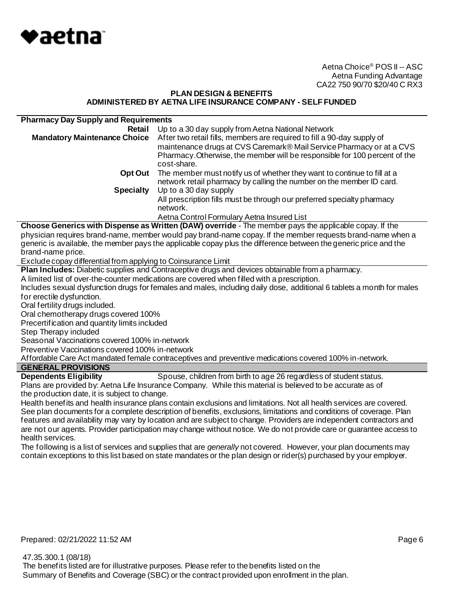

#### **PLAN DESIGN & BENEFITS ADMINISTERED BY AETNA LIFE INSURANCE COMPANY - SELF FUNDED**

| <b>Pharmacy Day Supply and Requirements</b> |                                                                                                                                                                                                                                              |
|---------------------------------------------|----------------------------------------------------------------------------------------------------------------------------------------------------------------------------------------------------------------------------------------------|
| Retail                                      | Up to a 30 day supply from Aetna National Network                                                                                                                                                                                            |
| <b>Mandatory Maintenance Choice</b>         | After two retail fills, members are required to fill a 90-day supply of<br>maintenance drugs at CVS Caremark® Mail Service Pharmacy or at a CVS<br>Pharmacy. Otherwise, the member will be responsible for 100 percent of the<br>cost-share. |
| Opt Out                                     | The member must notify us of whether they want to continue to fill at a<br>network retail pharmacy by calling the number on the member ID card.                                                                                              |
| <b>Specialty</b>                            | Up to a 30 day supply                                                                                                                                                                                                                        |
|                                             | All prescription fills must be through our preferred specialty pharmacy<br>network.                                                                                                                                                          |
|                                             | Aetna Control Formulary Aetna Insured List                                                                                                                                                                                                   |

**Choose Generics with Dispense as Written (DAW) override** - The member pays the applicable copay. If the physician requires brand-name, member would pay brand-name copay. If the member requests brand-name when a generic is available, the member pays the applicable copay plus the difference between the generic price and the brand-name price.

Exclude copay differential from applying to Coinsurance Limit

**Plan Includes:** Diabetic supplies and Contraceptive drugs and devices obtainable from a pharmacy.

A limited list of over-the-counter medications are covered when filled with a prescription.

Includes sexual dysfunction drugs for females and males, including daily dose, additional 6 tablets a month for males for erectile dysfunction.

Oral fertility drugs included.

Oral chemotherapy drugs covered 100%

Precertification and quantity limits included

Step Therapy included

Seasonal Vaccinations covered 100% in-network

Preventive Vaccinations covered 100% in-network

Affordable Care Act mandated female contraceptives and preventive medications covered 100% in-network.

# **GENERAL PROVISIONS**

**Dependents Eligibility** Spouse, children from birth to age 26 regardless of student status. Plans are provided by: Aetna Life Insurance Company. While this material is believed to be accurate as of the production date, it is subject to change.

Health benefits and health insurance plans contain exclusions and limitations. Not all health services are covered. See plan documents for a complete description of benefits, exclusions, limitations and conditions of coverage. Plan features and availability may vary by location and are subject to change. Providers are independent contractors and are not our agents. Provider participation may change without notice. We do not provide care or guarantee access to health services.

The following is a list of services and supplies that are *generally* not covered. However, your plan documents may contain exceptions to this list based on state mandates or the plan design or rider(s) purchased by your employer.